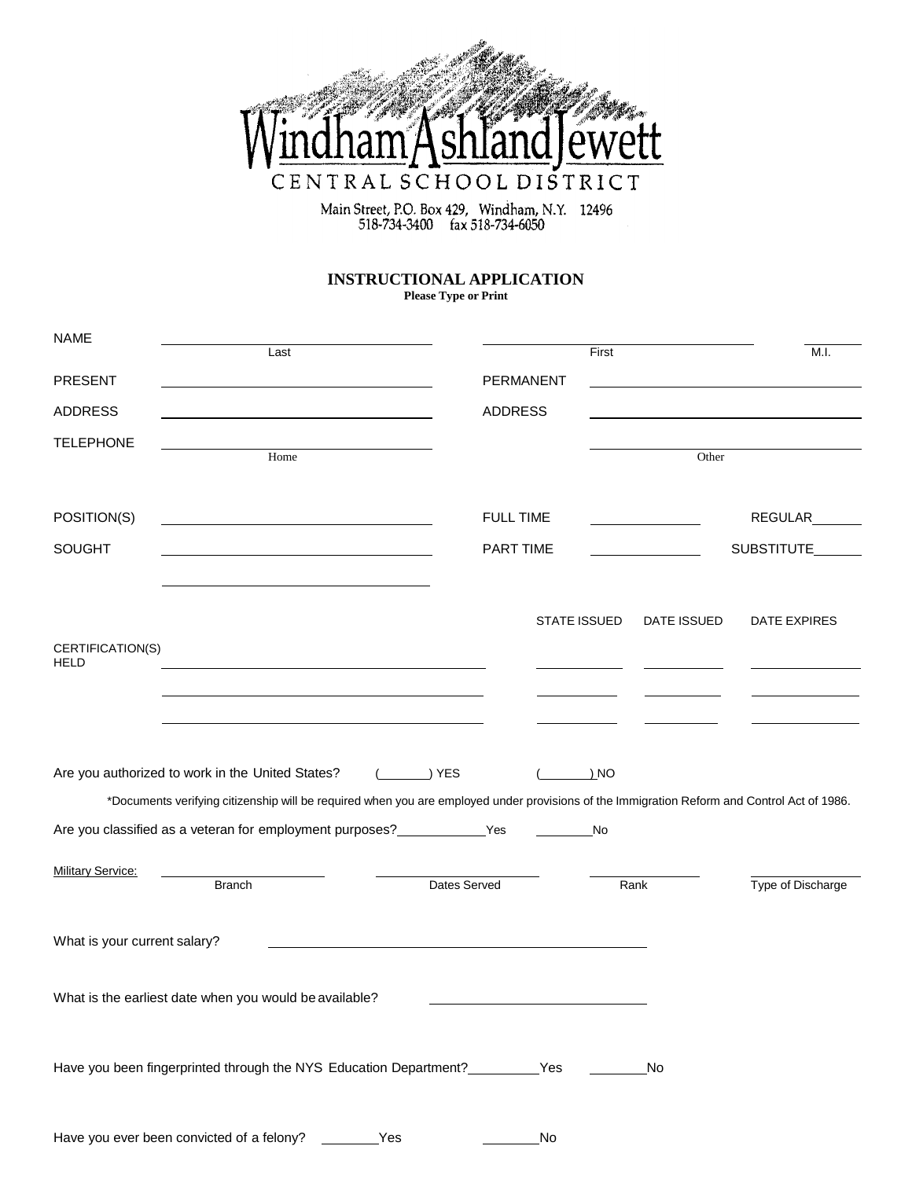

Main Street, P.O. Box 429, Windham, N.Y. 12496<br>518-734-3400 fax 518-734-6050

## **INSTRUCTIONAL APPLICATION**

**Please Type or Print**

| <b>NAME</b>                  | Last                                                                                                                                        |                  | First               |                | M.I.              |
|------------------------------|---------------------------------------------------------------------------------------------------------------------------------------------|------------------|---------------------|----------------|-------------------|
| <b>PRESENT</b>               |                                                                                                                                             | <b>PERMANENT</b> |                     |                |                   |
| <b>ADDRESS</b>               |                                                                                                                                             | <b>ADDRESS</b>   |                     |                |                   |
| <b>TELEPHONE</b>             |                                                                                                                                             |                  |                     |                |                   |
|                              | Home                                                                                                                                        |                  |                     | Other          |                   |
| POSITION(S)                  |                                                                                                                                             | <b>FULL TIME</b> |                     |                | REGULAR_______    |
|                              |                                                                                                                                             |                  |                     |                |                   |
| <b>SOUGHT</b>                |                                                                                                                                             | <b>PART TIME</b> |                     |                | SUBSTITUTE        |
|                              |                                                                                                                                             |                  |                     |                |                   |
|                              |                                                                                                                                             |                  | <b>STATE ISSUED</b> | DATE ISSUED    | DATE EXPIRES      |
| CERTIFICATION(S)             |                                                                                                                                             |                  |                     |                |                   |
| <b>HELD</b>                  |                                                                                                                                             |                  |                     |                |                   |
|                              | the control of the control of the control of the control of the control of the control of                                                   |                  |                     |                |                   |
|                              |                                                                                                                                             |                  |                     |                |                   |
|                              | Are you authorized to work in the United States?                                                                                            | ) YES            | ) NO                |                |                   |
|                              | *Documents verifying citizenship will be required when you are employed under provisions of the Immigration Reform and Control Act of 1986. |                  |                     |                |                   |
|                              | Are you classified as a veteran for employment purposes?<br>Yes                                                                             |                  | No                  |                |                   |
| <b>Military Service:</b>     |                                                                                                                                             |                  |                     |                |                   |
|                              | <b>Branch</b>                                                                                                                               | Dates Served     |                     | Rank           | Type of Discharge |
|                              |                                                                                                                                             |                  |                     |                |                   |
| What is your current salary? |                                                                                                                                             |                  |                     |                |                   |
|                              |                                                                                                                                             |                  |                     |                |                   |
|                              | What is the earliest date when you would be available?                                                                                      |                  |                     |                |                   |
|                              |                                                                                                                                             |                  |                     |                |                   |
|                              | Have you been fingerprinted through the NYS Education Department? __________Yes                                                             |                  |                     | N <sub>o</sub> |                   |
|                              |                                                                                                                                             |                  |                     |                |                   |
|                              | Have you ever been convicted of a felony?<br>Yes                                                                                            |                  | No                  |                |                   |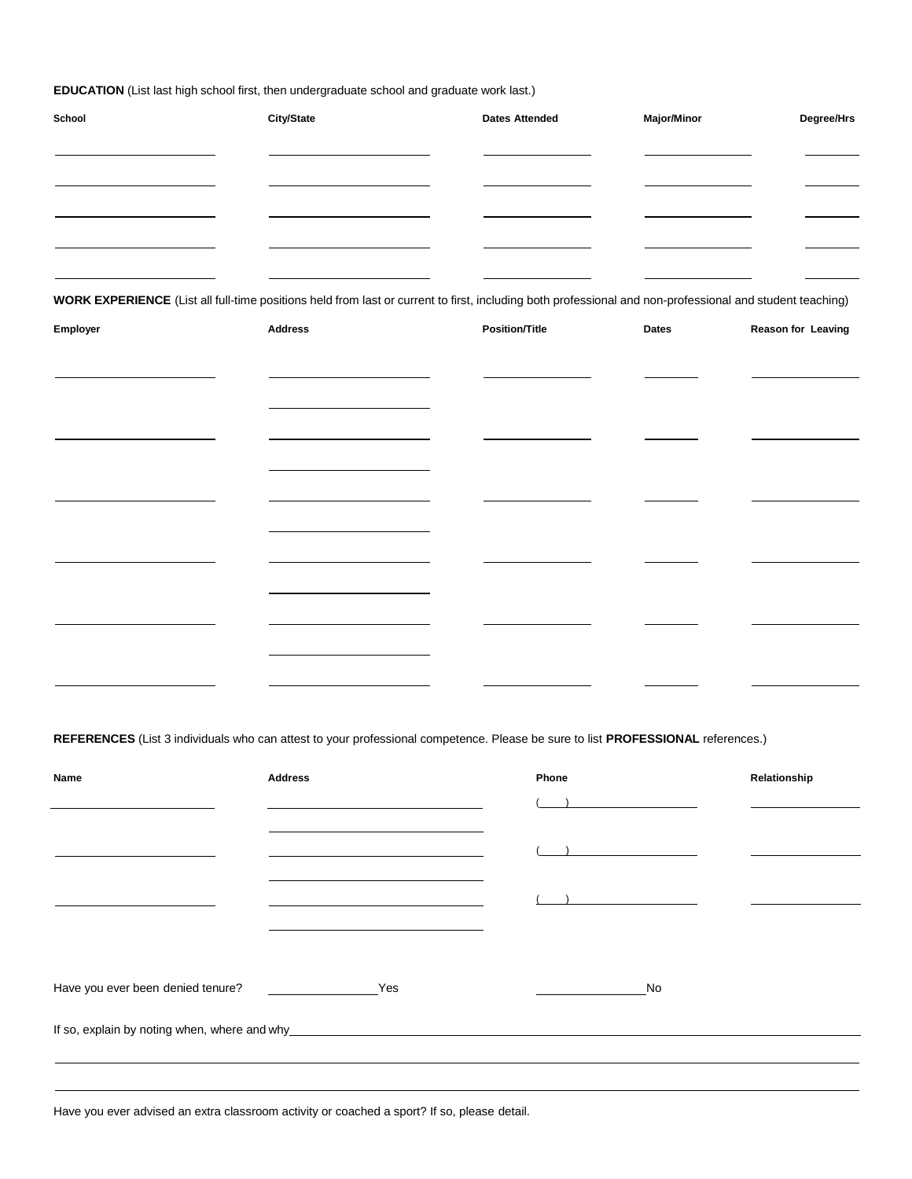**EDUCATION** (List last high school first, then undergraduate school and graduate work last.)

| School | <b>City/State</b> | <b>Dates Attended</b> | <b>Major/Minor</b> | Degree/Hrs |
|--------|-------------------|-----------------------|--------------------|------------|
|        |                   |                       |                    |            |
|        |                   |                       |                    |            |
|        |                   |                       |                    |            |
|        |                   |                       |                    |            |
|        |                   |                       |                    |            |

**WORK EXPERIENCE** (List all full-time positions held from last or current to first, including both professional and non-professional and student teaching)

| Employer | <b>Address</b>                                                             | <b>Position/Title</b> | Dates | Reason for Leaving |
|----------|----------------------------------------------------------------------------|-----------------------|-------|--------------------|
|          |                                                                            |                       |       |                    |
|          |                                                                            |                       |       |                    |
|          |                                                                            |                       |       |                    |
|          |                                                                            |                       |       |                    |
|          | the control of the control of the control of the control of the control of |                       |       |                    |
|          |                                                                            |                       |       |                    |
|          |                                                                            |                       |       |                    |
|          |                                                                            |                       |       |                    |
|          |                                                                            |                       |       |                    |
|          |                                                                            |                       |       |                    |
|          |                                                                            |                       |       |                    |
|          |                                                                            |                       |       |                    |
|          |                                                                            |                       |       |                    |

**REFERENCES** (List 3 individuals who can attest to your professional competence. Please be sure to list **PROFESSIONAL** references.)

| Name | <b>Address</b>                                                                                                                                                                                                                | Phone                    | Relationship |
|------|-------------------------------------------------------------------------------------------------------------------------------------------------------------------------------------------------------------------------------|--------------------------|--------------|
|      |                                                                                                                                                                                                                               |                          |              |
|      |                                                                                                                                                                                                                               | $\overline{\phantom{a}}$ |              |
|      | the control of the control of the control of the control of the control of the control of the control of the control of the control of the control of the control of the control of the control of the control of the control |                          |              |
|      |                                                                                                                                                                                                                               | $\overline{\phantom{a}}$ |              |
|      |                                                                                                                                                                                                                               |                          |              |
|      |                                                                                                                                                                                                                               | No                       |              |
|      |                                                                                                                                                                                                                               |                          |              |
|      |                                                                                                                                                                                                                               |                          |              |
|      |                                                                                                                                                                                                                               |                          |              |

Have you ever advised an extra classroom activity or coached a sport? If so, please detail.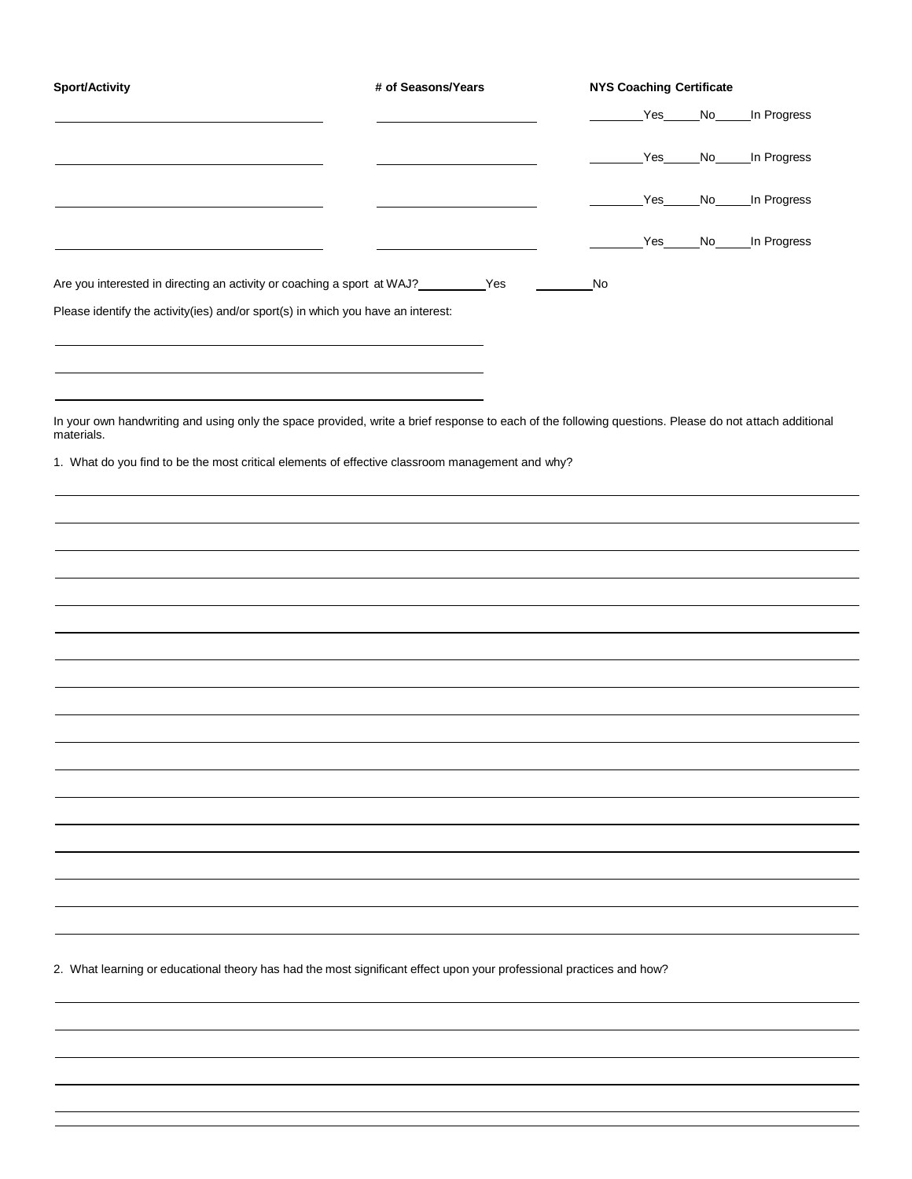| Are you interested in directing an activity or coaching a sport at WAJ?__________Yes<br>Please identify the activity(ies) and/or sport(s) in which you have an interest:<br>In your own handwriting and using only the space provided, write a brief response to each of the following questions. Please do not attach additional<br>materials.<br>1. What do you find to be the most critical elements of effective classroom management and why? |  | No | Yes<br>Yes | No<br>Yes No<br>No_ | In Progress<br>In Progress<br>In Progress<br>Yes No In Progress |
|----------------------------------------------------------------------------------------------------------------------------------------------------------------------------------------------------------------------------------------------------------------------------------------------------------------------------------------------------------------------------------------------------------------------------------------------------|--|----|------------|---------------------|-----------------------------------------------------------------|
|                                                                                                                                                                                                                                                                                                                                                                                                                                                    |  |    |            |                     |                                                                 |
|                                                                                                                                                                                                                                                                                                                                                                                                                                                    |  |    |            |                     |                                                                 |
|                                                                                                                                                                                                                                                                                                                                                                                                                                                    |  |    |            |                     |                                                                 |
|                                                                                                                                                                                                                                                                                                                                                                                                                                                    |  |    |            |                     |                                                                 |
|                                                                                                                                                                                                                                                                                                                                                                                                                                                    |  |    |            |                     |                                                                 |
|                                                                                                                                                                                                                                                                                                                                                                                                                                                    |  |    |            |                     |                                                                 |
|                                                                                                                                                                                                                                                                                                                                                                                                                                                    |  |    |            |                     |                                                                 |
|                                                                                                                                                                                                                                                                                                                                                                                                                                                    |  |    |            |                     |                                                                 |
|                                                                                                                                                                                                                                                                                                                                                                                                                                                    |  |    |            |                     |                                                                 |
|                                                                                                                                                                                                                                                                                                                                                                                                                                                    |  |    |            |                     |                                                                 |
|                                                                                                                                                                                                                                                                                                                                                                                                                                                    |  |    |            |                     |                                                                 |
|                                                                                                                                                                                                                                                                                                                                                                                                                                                    |  |    |            |                     |                                                                 |
|                                                                                                                                                                                                                                                                                                                                                                                                                                                    |  |    |            |                     |                                                                 |
|                                                                                                                                                                                                                                                                                                                                                                                                                                                    |  |    |            |                     |                                                                 |
|                                                                                                                                                                                                                                                                                                                                                                                                                                                    |  |    |            |                     |                                                                 |
|                                                                                                                                                                                                                                                                                                                                                                                                                                                    |  |    |            |                     |                                                                 |
|                                                                                                                                                                                                                                                                                                                                                                                                                                                    |  |    |            |                     |                                                                 |
|                                                                                                                                                                                                                                                                                                                                                                                                                                                    |  |    |            |                     |                                                                 |
|                                                                                                                                                                                                                                                                                                                                                                                                                                                    |  |    |            |                     |                                                                 |
|                                                                                                                                                                                                                                                                                                                                                                                                                                                    |  |    |            |                     |                                                                 |
|                                                                                                                                                                                                                                                                                                                                                                                                                                                    |  |    |            |                     |                                                                 |
|                                                                                                                                                                                                                                                                                                                                                                                                                                                    |  |    |            |                     |                                                                 |
|                                                                                                                                                                                                                                                                                                                                                                                                                                                    |  |    |            |                     |                                                                 |
|                                                                                                                                                                                                                                                                                                                                                                                                                                                    |  |    |            |                     |                                                                 |
|                                                                                                                                                                                                                                                                                                                                                                                                                                                    |  |    |            |                     |                                                                 |
|                                                                                                                                                                                                                                                                                                                                                                                                                                                    |  |    |            |                     |                                                                 |
|                                                                                                                                                                                                                                                                                                                                                                                                                                                    |  |    |            |                     |                                                                 |